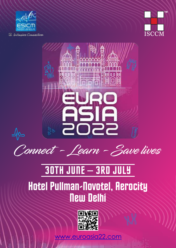





Connect - Learn - Save lives

## 30TH JUNE – 3RD JULY

## Hotel Pullman-Novotel, Aerocity New Delhi



oasia22.com